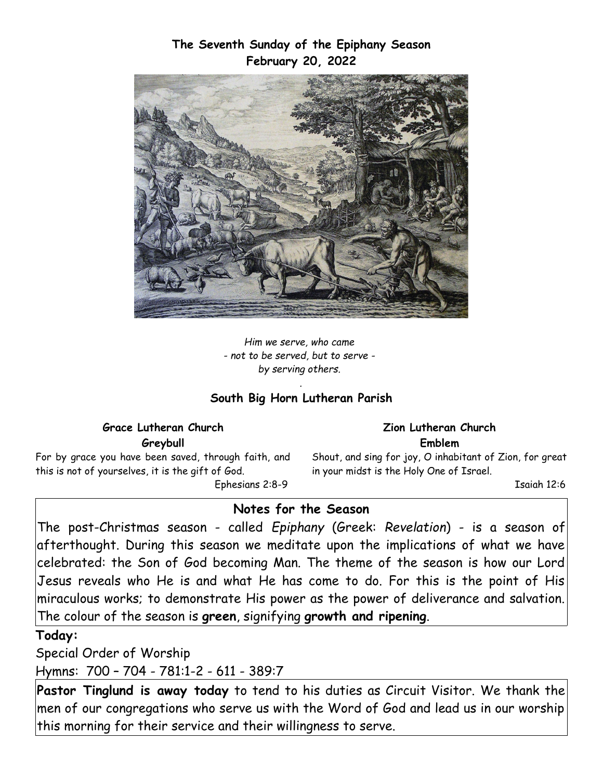## **The Seventh Sunday of the Epiphany Season February 20, 2022**



*Him we serve, who came - not to be served, but to serve by serving others.* 

### *.* **South Big Horn Lutheran Parish**

### **Grace Lutheran Church Greybull**

**Zion Lutheran Church Emblem**

For by grace you have been saved, through faith, and this is not of yourselves, it is the gift of God.

Ephesians 2:8-9

# Shout, and sing for joy, O inhabitant of Zion, for great

in your midst is the Holy One of Israel. Isaiah 12:6

**Notes for the Season**

The post-Christmas season - called *Epiphany* (Greek: *Revelation*) - is a season of afterthought. During this season we meditate upon the implications of what we have celebrated: the Son of God becoming Man. The theme of the season is how our Lord Jesus reveals who He is and what He has come to do. For this is the point of His miraculous works; to demonstrate His power as the power of deliverance and salvation. The colour of the season is **green**, signifying **growth and ripening**.

### **Today:**

Special Order of Worship

Hymns: 700 – 704 - 781:1-2 - 611 - 389:7

**Pastor Tinglund is away today** to tend to his duties as Circuit Visitor. We thank the men of our congregations who serve us with the Word of God and lead us in our worship this morning for their service and their willingness to serve.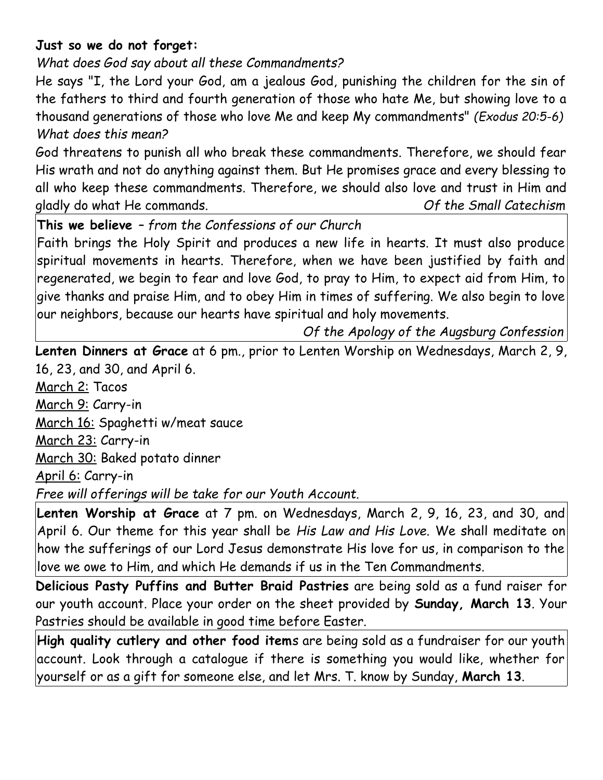## **Just so we do not forget:**

*What does God say about all these Commandments?*

He says "I, the Lord your God, am a jealous God, punishing the children for the sin of the fathers to third and fourth generation of those who hate Me, but showing love to a thousand generations of those who love Me and keep My commandments" *(Exodus 20:5-6) What does this mean?*

God threatens to punish all who break these commandments. Therefore, we should fear His wrath and not do anything against them. But He promises grace and every blessing to all who keep these commandments. Therefore, we should also love and trust in Him and gladly do what He commands. *Of the Small Catechism*

**This we believe** *– from the Confessions of our Church*

Faith brings the Holy Spirit and produces a new life in hearts. It must also produce spiritual movements in hearts. Therefore, when we have been justified by faith and regenerated, we begin to fear and love God, to pray to Him, to expect aid from Him, to give thanks and praise Him, and to obey Him in times of suffering. We also begin to love our neighbors, because our hearts have spiritual and holy movements.

 *Of the Apology of the Augsburg Confession*

**Lenten Dinners at Grace** at 6 pm., prior to Lenten Worship on Wednesdays, March 2, 9, 16, 23, and 30, and April 6. March 2: Tacos

March 9: Carry-in March 16: Spaghetti w/meat sauce March 23: Carry-in March 30: Baked potato dinner

April 6: Carry-in

*Free will offerings will be take for our Youth Account.*

**Lenten Worship at Grace** at 7 pm. on Wednesdays, March 2, 9, 16, 23, and 30, and April 6. Our theme for this year shall be *His Law and His Love.* We shall meditate on how the sufferings of our Lord Jesus demonstrate His love for us, in comparison to the love we owe to Him, and which He demands if us in the Ten Commandments.

**Delicious Pasty Puffins and Butter Braid Pastries** are being sold as a fund raiser for our youth account. Place your order on the sheet provided by **Sunday, March 13**. Your Pastries should be available in good time before Easter.

**High quality cutlery and other food item**s are being sold as a fundraiser for our youth account. Look through a catalogue if there is something you would like, whether for yourself or as a gift for someone else, and let Mrs. T. know by Sunday, **March 13**.